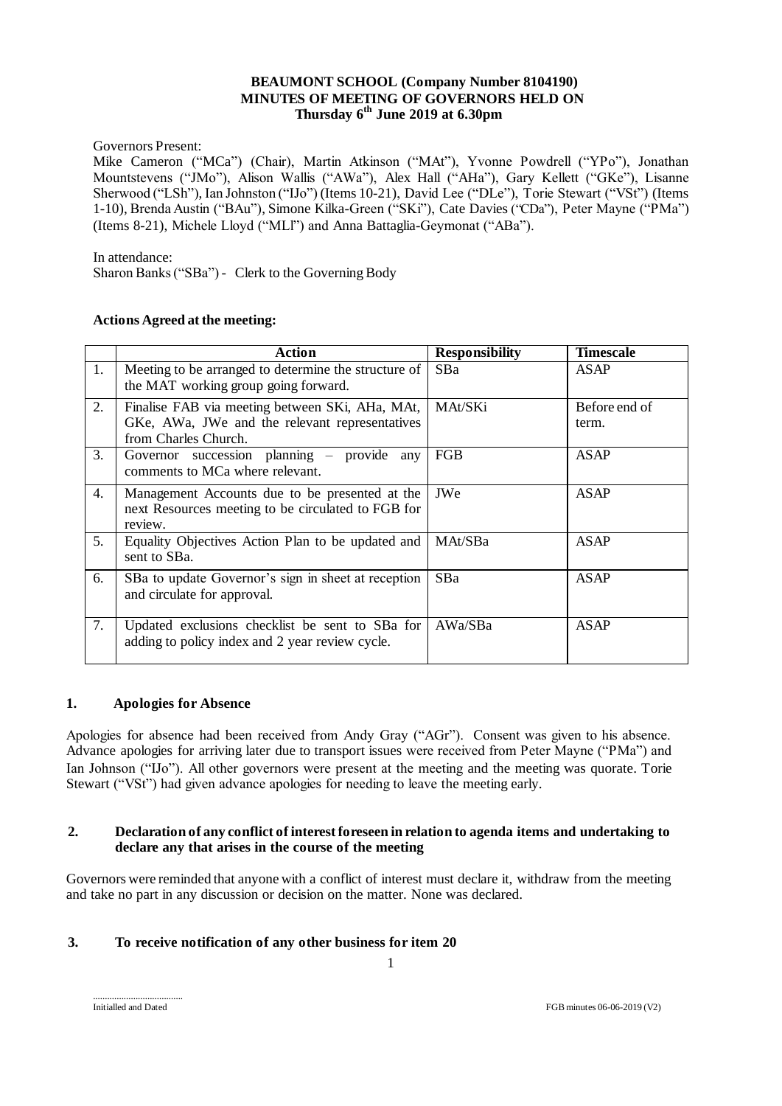# **BEAUMONT SCHOOL (Company Number 8104190) MINUTES OF MEETING OF GOVERNORS HELD ON Thursday 6 th June 2019 at 6.30pm**

Governors Present:

Mike Cameron ("MCa") (Chair), Martin Atkinson ("MAt"), Yvonne Powdrell ("YPo"), Jonathan Mountstevens ("JMo"), Alison Wallis ("AWa"), Alex Hall ("AHa"), Gary Kellett ("GKe"), Lisanne Sherwood ("LSh"), Ian Johnston ("IJo") (Items 10-21), David Lee ("DLe"), Torie Stewart ("VSt") (Items 1-10), Brenda Austin ("BAu"), Simone Kilka-Green ("SKi"), Cate Davies ("CDa"), Peter Mayne ("PMa") (Items 8-21), Michele Lloyd ("MLl") and Anna Battaglia-Geymonat ("ABa").

In attendance:

Sharon Banks ("SBa") - Clerk to the Governing Body

#### **Actions Agreed at the meeting:**

|    | Action                                                                                                                    | <b>Responsibility</b> | <b>Timescale</b>       |
|----|---------------------------------------------------------------------------------------------------------------------------|-----------------------|------------------------|
| 1. | Meeting to be arranged to determine the structure of<br>the MAT working group going forward.                              | <b>SBa</b>            | <b>ASAP</b>            |
| 2. | Finalise FAB via meeting between SKi, AHa, MAt,<br>GKe, AWa, JWe and the relevant representatives<br>from Charles Church. | MAt/SKi               | Before end of<br>term. |
| 3. | Governor succession planning – provide any<br>comments to MCa where relevant.                                             | FGB                   | <b>ASAP</b>            |
| 4. | Management Accounts due to be presented at the<br>next Resources meeting to be circulated to FGB for<br>review.           | JWe                   | <b>ASAP</b>            |
| 5. | Equality Objectives Action Plan to be updated and<br>sent to SBa.                                                         | MAt/SBa               | <b>ASAP</b>            |
| 6. | SBa to update Governor's sign in sheet at reception<br>and circulate for approval.                                        | SB <sub>a</sub>       | <b>ASAP</b>            |
| 7. | Updated exclusions checklist be sent to SBa for<br>adding to policy index and 2 year review cycle.                        | AWa/SBa               | <b>ASAP</b>            |

### **1. Apologies for Absence**

Apologies for absence had been received from Andy Gray ("AGr"). Consent was given to his absence. Advance apologies for arriving later due to transport issues were received from Peter Mayne ("PMa") and Ian Johnson ("IJo"). All other governors were present at the meeting and the meeting was quorate. Torie Stewart ("VSt") had given advance apologies for needing to leave the meeting early.

#### **2. Declaration of any conflict of interest foreseen in relation to agenda items and undertaking to declare any that arises in the course of the meeting**

Governors were reminded that anyone with a conflict of interest must declare it, withdraw from the meeting and take no part in any discussion or decision on the matter. None was declared.

### **3. To receive notification of any other business for item 20**

......................................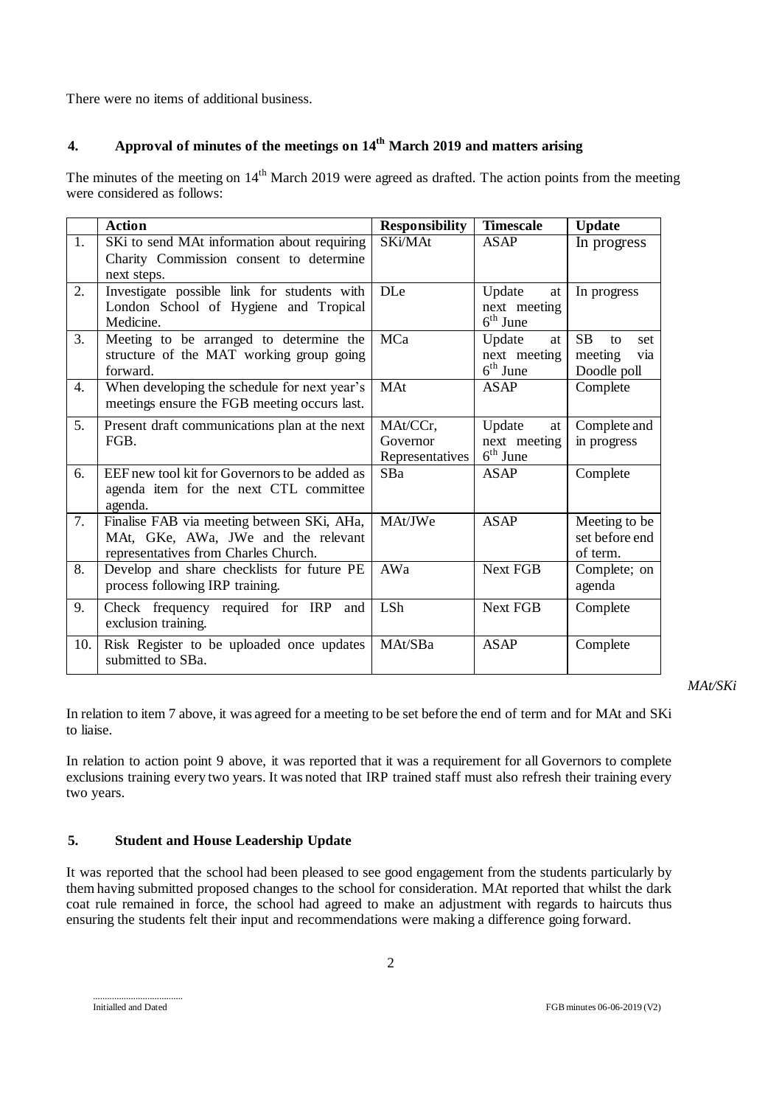There were no items of additional business.

# **4. Approval of minutes of the meetings on 14th March 2019 and matters arising**

The minutes of the meeting on 14<sup>th</sup> March 2019 were agreed as drafted. The action points from the meeting were considered as follows:

|     | <b>Action</b>                                                                                                             | <b>Responsibility</b>                   | <b>Timescale</b>                           | <b>Update</b>                                           |
|-----|---------------------------------------------------------------------------------------------------------------------------|-----------------------------------------|--------------------------------------------|---------------------------------------------------------|
| 1.  | SKi to send MAt information about requiring<br>Charity Commission consent to determine<br>next steps.                     | SKi/MAt                                 | <b>ASAP</b>                                | In progress                                             |
| 2.  | Investigate possible link for students with<br>London School of Hygiene and Tropical<br>Medicine.                         | <b>DLe</b>                              | Update<br>at<br>next meeting<br>$6th$ June | In progress                                             |
| 3.  | Meeting to be arranged to determine the<br>structure of the MAT working group going<br>forward.                           | MCa                                     | Update<br>at<br>next meeting<br>$6th$ June | <b>SB</b><br>to<br>set<br>meeting<br>via<br>Doodle poll |
| 4.  | When developing the schedule for next year's<br>meetings ensure the FGB meeting occurs last.                              | MAt                                     | <b>ASAP</b>                                | Complete                                                |
| 5.  | Present draft communications plan at the next<br>FGB.                                                                     | MAt/CCr,<br>Governor<br>Representatives | Update<br>at<br>next meeting<br>$6th$ June | Complete and<br>in progress                             |
| 6.  | EEF new tool kit for Governors to be added as<br>agenda item for the next CTL committee<br>agenda.                        | SBa                                     | <b>ASAP</b>                                | Complete                                                |
| 7.  | Finalise FAB via meeting between SKi, AHa,<br>MAt, GKe, AWa, JWe and the relevant<br>representatives from Charles Church. | MAt/JWe                                 | <b>ASAP</b>                                | Meeting to be<br>set before end<br>of term.             |
| 8.  | Develop and share checklists for future PE<br>process following IRP training.                                             | AWa                                     | <b>Next FGB</b>                            | Complete; on<br>agenda                                  |
| 9.  | Check frequency required for IRP<br>and<br>exclusion training.                                                            | LSh                                     | <b>Next FGB</b>                            | Complete                                                |
| 10. | Risk Register to be uploaded once updates<br>submitted to SBa.                                                            | MAt/SBa                                 | <b>ASAP</b>                                | Complete                                                |

*MAt/SKi*

In relation to item 7 above, it was agreed for a meeting to be set before the end of term and for MAt and SKi to liaise.

In relation to action point 9 above, it was reported that it was a requirement for all Governors to complete exclusions training every two years. It was noted that IRP trained staff must also refresh their training every two years.

### **5. Student and House Leadership Update**

It was reported that the school had been pleased to see good engagement from the students particularly by them having submitted proposed changes to the school for consideration. MAt reported that whilst the dark coat rule remained in force, the school had agreed to make an adjustment with regards to haircuts thus ensuring the students felt their input and recommendations were making a difference going forward.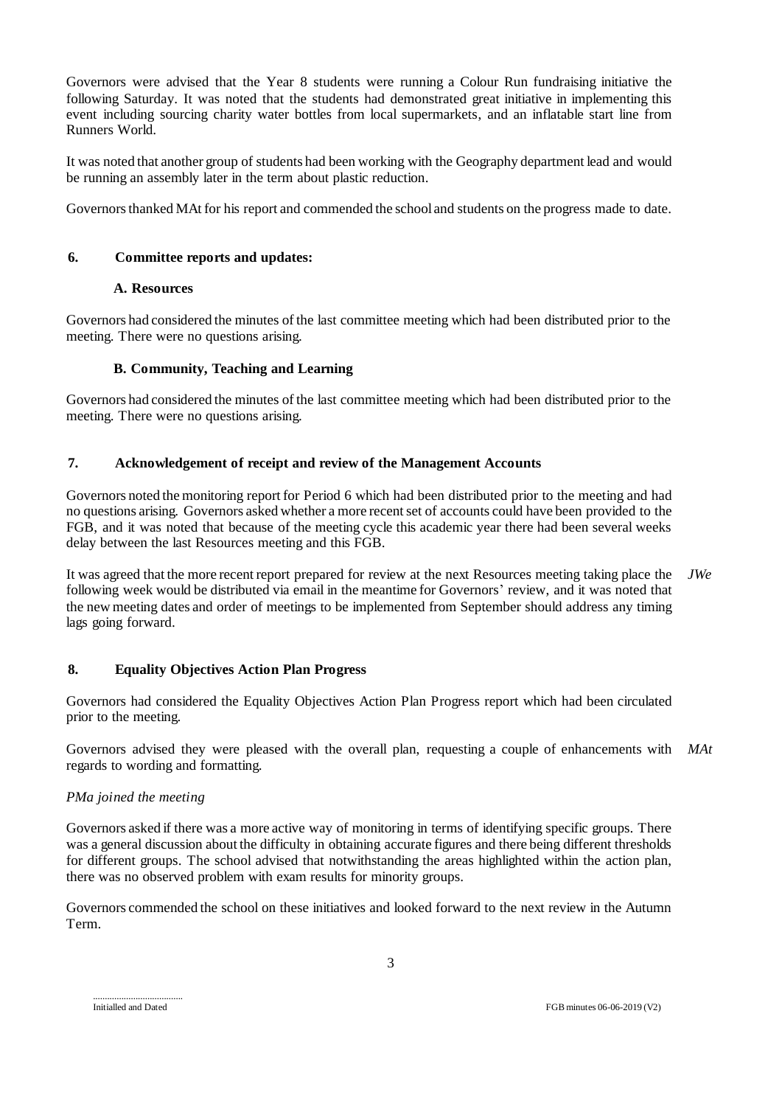Governors were advised that the Year 8 students were running a Colour Run fundraising initiative the following Saturday. It was noted that the students had demonstrated great initiative in implementing this event including sourcing charity water bottles from local supermarkets, and an inflatable start line from Runners World.

It was noted that another group of students had been working with the Geography department lead and would be running an assembly later in the term about plastic reduction.

Governors thanked MAt for his report and commended the school and students on the progress made to date.

# **6. Committee reports and updates:**

### **A. Resources**

Governors had considered the minutes of the last committee meeting which had been distributed prior to the meeting. There were no questions arising.

# **B. Community, Teaching and Learning**

Governors had considered the minutes of the last committee meeting which had been distributed prior to the meeting. There were no questions arising.

# **7. Acknowledgement of receipt and review of the Management Accounts**

Governors noted the monitoring report for Period 6 which had been distributed prior to the meeting and had no questions arising. Governors asked whether a more recent set of accounts could have been provided to the FGB, and it was noted that because of the meeting cycle this academic year there had been several weeks delay between the last Resources meeting and this FGB.

It was agreed that the more recent report prepared for review at the next Resources meeting taking place the following week would be distributed via email in the meantime for Governors' review, and it was noted that the new meeting dates and order of meetings to be implemented from September should address any timing lags going forward. *JWe*

# **8. Equality Objectives Action Plan Progress**

Governors had considered the Equality Objectives Action Plan Progress report which had been circulated prior to the meeting.

Governors advised they were pleased with the overall plan, requesting a couple of enhancements with *MAt*regards to wording and formatting.

### *PMa joined the meeting*

Governors asked if there was a more active way of monitoring in terms of identifying specific groups. There was a general discussion about the difficulty in obtaining accurate figures and there being different thresholds for different groups. The school advised that notwithstanding the areas highlighted within the action plan, there was no observed problem with exam results for minority groups.

Governors commended the school on these initiatives and looked forward to the next review in the Autumn Term.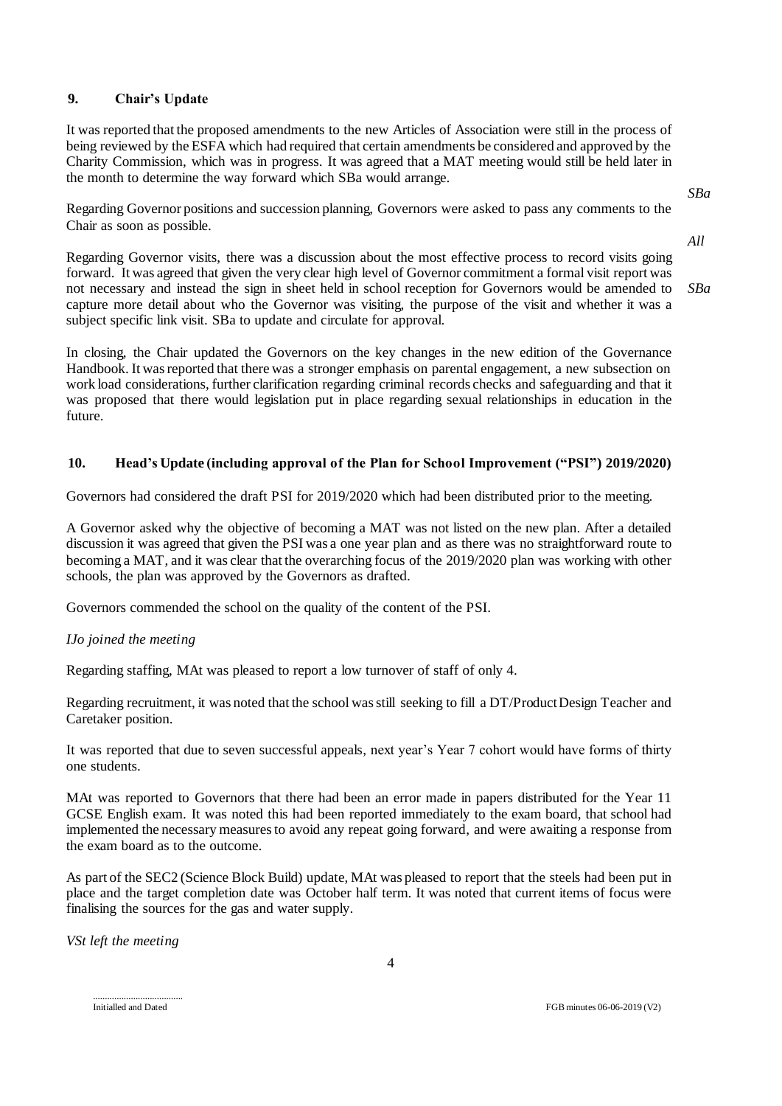# **9. Chair's Update**

It was reported that the proposed amendments to the new Articles of Association were still in the process of being reviewed by the ESFA which had required that certain amendments be considered and approved by the Charity Commission, which was in progress. It was agreed that a MAT meeting would still be held later in the month to determine the way forward which SBa would arrange.

Regarding Governor positions and succession planning, Governors were asked to pass any comments to the Chair as soon as possible.

Regarding Governor visits, there was a discussion about the most effective process to record visits going forward. It was agreed that given the very clear high level of Governor commitment a formal visit report was not necessary and instead the sign in sheet held in school reception for Governors would be amended to capture more detail about who the Governor was visiting, the purpose of the visit and whether it was a subject specific link visit. SBa to update and circulate for approval. *SBa*

In closing, the Chair updated the Governors on the key changes in the new edition of the Governance Handbook. It was reported that there was a stronger emphasis on parental engagement, a new subsection on work load considerations, further clarification regarding criminal records checks and safeguarding and that it was proposed that there would legislation put in place regarding sexual relationships in education in the future.

# **10. Head's Update (including approval of the Plan for School Improvement ("PSI") 2019/2020)**

Governors had considered the draft PSI for 2019/2020 which had been distributed prior to the meeting.

A Governor asked why the objective of becoming a MAT was not listed on the new plan. After a detailed discussion it was agreed that given the PSI was a one year plan and as there was no straightforward route to becoming a MAT, and it was clear that the overarching focus of the 2019/2020 plan was working with other schools, the plan was approved by the Governors as drafted.

Governors commended the school on the quality of the content of the PSI.

### *IJo joined the meeting*

Regarding staffing, MAt was pleased to report a low turnover of staff of only 4.

Regarding recruitment, it was noted that the school was still seeking to fill a DT/Product Design Teacher and Caretaker position.

It was reported that due to seven successful appeals, next year's Year 7 cohort would have forms of thirty one students.

MAt was reported to Governors that there had been an error made in papers distributed for the Year 11 GCSE English exam. It was noted this had been reported immediately to the exam board, that school had implemented the necessary measures to avoid any repeat going forward, and were awaiting a response from the exam board as to the outcome.

As part of the SEC2 (Science Block Build) update, MAt was pleased to report that the steels had been put in place and the target completion date was October half term. It was noted that current items of focus were finalising the sources for the gas and water supply.

*VSt left the meeting*

......................................

*SBa*

*All*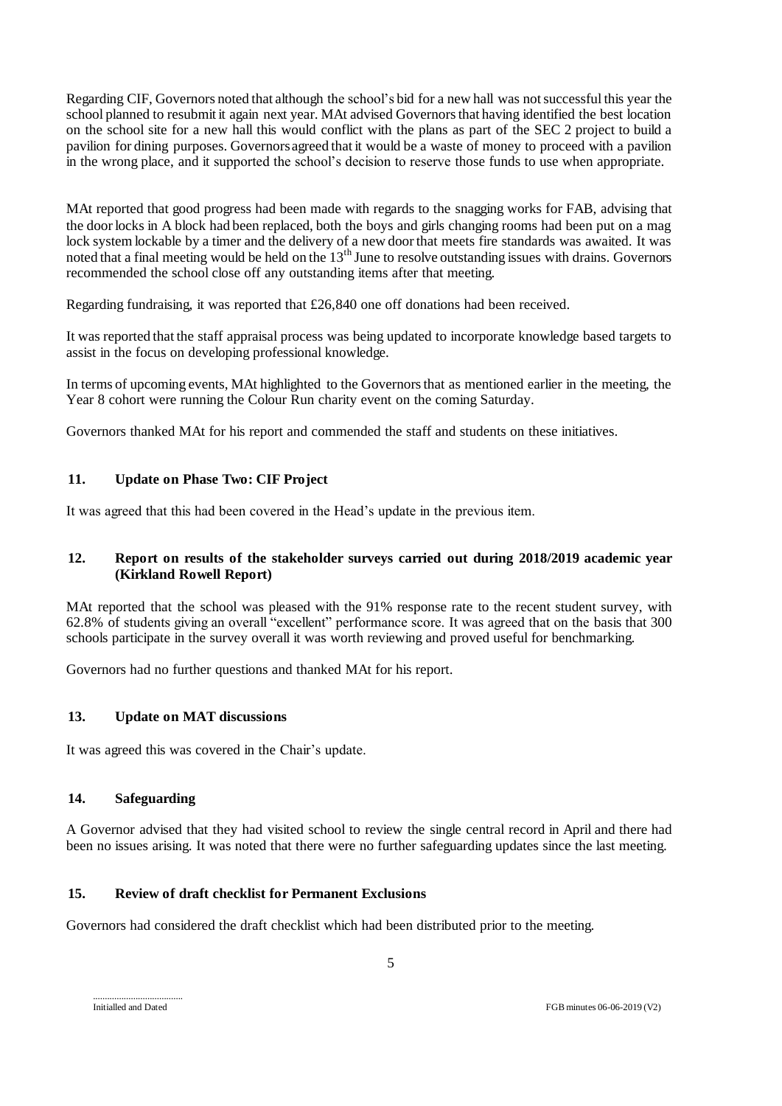Regarding CIF, Governors noted that although the school's bid for a new hall was not successful this year the school planned to resubmit it again next year. MAt advised Governors that having identified the best location on the school site for a new hall this would conflict with the plans as part of the SEC 2 project to build a pavilion for dining purposes. Governors agreed that it would be a waste of money to proceed with a pavilion in the wrong place, and it supported the school's decision to reserve those funds to use when appropriate.

MAt reported that good progress had been made with regards to the snagging works for FAB, advising that the door locks in A block had been replaced, both the boys and girls changing rooms had been put on a mag lock system lockable by a timer and the delivery of a new door that meets fire standards was awaited. It was noted that a final meeting would be held on the 13th June to resolve outstanding issues with drains. Governors recommended the school close off any outstanding items after that meeting.

Regarding fundraising, it was reported that £26,840 one off donations had been received.

It was reported that the staff appraisal process was being updated to incorporate knowledge based targets to assist in the focus on developing professional knowledge.

In terms of upcoming events, MAt highlighted to the Governors that as mentioned earlier in the meeting, the Year 8 cohort were running the Colour Run charity event on the coming Saturday.

Governors thanked MAt for his report and commended the staff and students on these initiatives.

### **11. Update on Phase Two: CIF Project**

It was agreed that this had been covered in the Head's update in the previous item.

#### **12. Report on results of the stakeholder surveys carried out during 2018/2019 academic year (Kirkland Rowell Report)**

MAt reported that the school was pleased with the 91% response rate to the recent student survey, with 62.8% of students giving an overall "excellent" performance score. It was agreed that on the basis that 300 schools participate in the survey overall it was worth reviewing and proved useful for benchmarking.

Governors had no further questions and thanked MAt for his report.

### **13. Update on MAT discussions**

It was agreed this was covered in the Chair's update.

#### **14. Safeguarding**

A Governor advised that they had visited school to review the single central record in April and there had been no issues arising. It was noted that there were no further safeguarding updates since the last meeting.

### **15. Review of draft checklist for Permanent Exclusions**

Governors had considered the draft checklist which had been distributed prior to the meeting.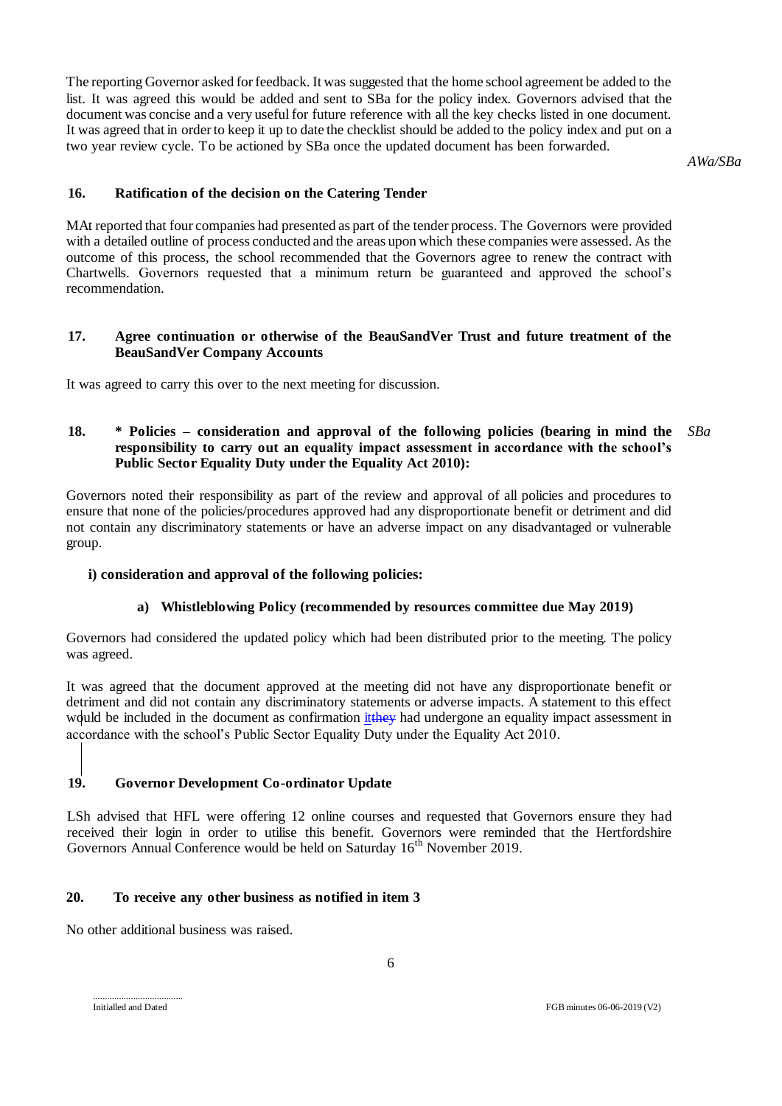The reporting Governor asked for feedback. It was suggested that the home school agreement be added to the list. It was agreed this would be added and sent to SBa for the policy index. Governors advised that the document was concise and a very useful for future reference with all the key checks listed in one document. It was agreed that in order to keep it up to date the checklist should be added to the policy index and put on a two year review cycle. To be actioned by SBa once the updated document has been forwarded.

*AWa/SBa*

### **16. Ratification of the decision on the Catering Tender**

MAt reported that four companies had presented as part of the tender process. The Governors were provided with a detailed outline of process conducted and the areas upon which these companies were assessed. As the outcome of this process, the school recommended that the Governors agree to renew the contract with Chartwells. Governors requested that a minimum return be guaranteed and approved the school's recommendation.

#### **17. Agree continuation or otherwise of the BeauSandVer Trust and future treatment of the BeauSandVer Company Accounts**

It was agreed to carry this over to the next meeting for discussion.

#### **18. \* Policies – consideration and approval of the following policies (bearing in mind the responsibility to carry out an equality impact assessment in accordance with the school's Public Sector Equality Duty under the Equality Act 2010):** *SBa*

Governors noted their responsibility as part of the review and approval of all policies and procedures to ensure that none of the policies/procedures approved had any disproportionate benefit or detriment and did not contain any discriminatory statements or have an adverse impact on any disadvantaged or vulnerable group.

#### **i) consideration and approval of the following policies:**

### **a) Whistleblowing Policy (recommended by resources committee due May 2019)**

Governors had considered the updated policy which had been distributed prior to the meeting. The policy was agreed.

It was agreed that the document approved at the meeting did not have any disproportionate benefit or detriment and did not contain any discriminatory statements or adverse impacts. A statement to this effect would be included in the document as confirmation it they had undergone an equality impact assessment in accordance with the school's Public Sector Equality Duty under the Equality Act 2010.

### **19. Governor Development Co-ordinator Update**

LSh advised that HFL were offering 12 online courses and requested that Governors ensure they had received their login in order to utilise this benefit. Governors were reminded that the Hertfordshire Governors Annual Conference would be held on Saturday 16<sup>th</sup> November 2019.

# **20. To receive any other business as notified in item 3**

No other additional business was raised.